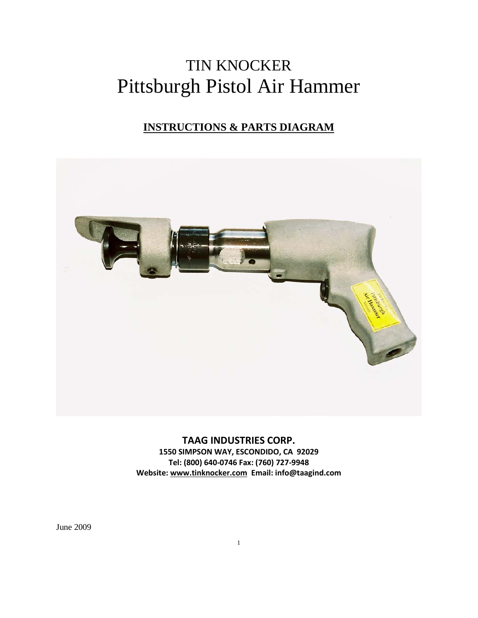# TIN KNOCKER Pittsburgh Pistol Air Hammer

## **INSTRUCTIONS & PARTS DIAGRAM**



**TAAG INDUSTRIES CORP. 1550 SIMPSON WAY, ESCONDIDO, CA 92029 Tel: (800) 640-0746 Fax: (760) 727-9948 Website: [www.tinknocker.com](http://www.tinknocker.com/) Email: info@taagind.com**

June 2009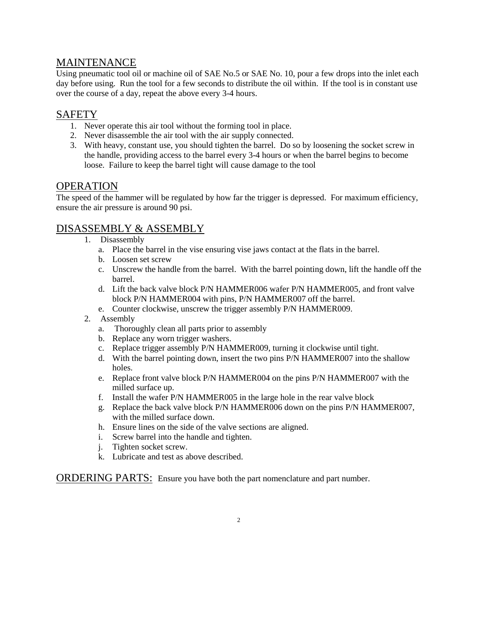### MAINTENANCE

Using pneumatic tool oil or machine oil of SAE No.5 or SAE No. 10, pour a few drops into the inlet each day before using. Run the tool for a few seconds to distribute the oil within. If the tool is in constant use over the course of a day, repeat the above every 3-4 hours.

### SAFETY

- 1. Never operate this air tool without the forming tool in place.
- 2. Never disassemble the air tool with the air supply connected.
- 3. With heavy, constant use, you should tighten the barrel. Do so by loosening the socket screw in the handle, providing access to the barrel every 3-4 hours or when the barrel begins to become loose. Failure to keep the barrel tight will cause damage to the tool

### **OPERATION**

The speed of the hammer will be regulated by how far the trigger is depressed. For maximum efficiency, ensure the air pressure is around 90 psi.

### DISASSEMBLY & ASSEMBLY

- 1. Disassembly
	- a. Place the barrel in the vise ensuring vise jaws contact at the flats in the barrel.
	- b. Loosen set screw
	- c. Unscrew the handle from the barrel. With the barrel pointing down, lift the handle off the barrel.
	- d. Lift the back valve block P/N HAMMER006 wafer P/N HAMMER005, and front valve block P/N HAMMER004 with pins, P/N HAMMER007 off the barrel.
	- e. Counter clockwise, unscrew the trigger assembly P/N HAMMER009.
- 2. Assembly
	- a. Thoroughly clean all parts prior to assembly
	- b. Replace any worn trigger washers.
	- c. Replace trigger assembly P/N HAMMER009, turning it clockwise until tight.
	- d. With the barrel pointing down, insert the two pins P/N HAMMER007 into the shallow holes.
	- e. Replace front valve block P/N HAMMER004 on the pins P/N HAMMER007 with the milled surface up.
	- f. Install the wafer P/N HAMMER005 in the large hole in the rear valve block
	- g. Replace the back valve block P/N HAMMER006 down on the pins P/N HAMMER007, with the milled surface down.
	- h. Ensure lines on the side of the valve sections are aligned.
	- i. Screw barrel into the handle and tighten.
	- j. Tighten socket screw.
	- k. Lubricate and test as above described.

ORDERING PARTS: Ensure you have both the part nomenclature and part number.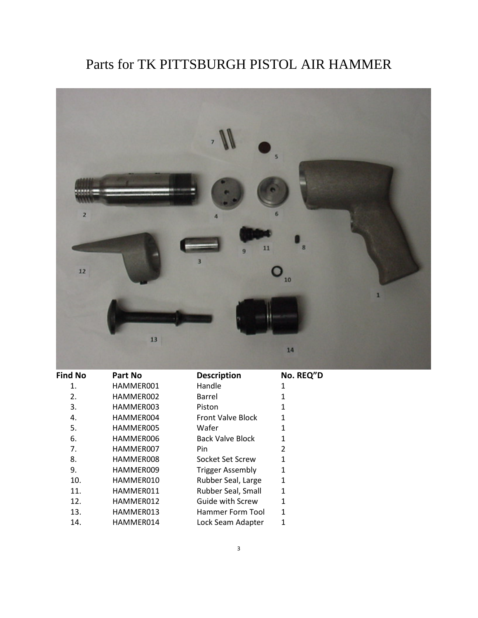# Parts for TK PITTSBURGH PISTOL AIR HAMMER



| <b>Find No</b> | Part No   | <b>Description</b>       | No. REQ"D    |
|----------------|-----------|--------------------------|--------------|
| 1.             | HAMMER001 | Handle                   | 1            |
| 2.             | HAMMER002 | Barrel                   | 1            |
| 3.             | HAMMER003 | Piston                   | 1            |
| 4.             | HAMMER004 | <b>Front Valve Block</b> | 1            |
| 5.             | HAMMER005 | Wafer                    | 1            |
| 6.             | HAMMER006 | <b>Back Valve Block</b>  | 1            |
| 7.             | HAMMER007 | Pin                      | 2            |
| 8.             | HAMMER008 | Socket Set Screw         | 1            |
| 9.             | HAMMER009 | <b>Trigger Assembly</b>  | $\mathbf{1}$ |
| 10.            | HAMMER010 | Rubber Seal, Large       | 1            |
| 11.            | HAMMER011 | Rubber Seal, Small       | $\mathbf{1}$ |
| 12.            | HAMMER012 | Guide with Screw         | 1            |
| 13.            | HAMMER013 | Hammer Form Tool         | 1            |
| 14.            | HAMMER014 | Lock Seam Adapter        | 1            |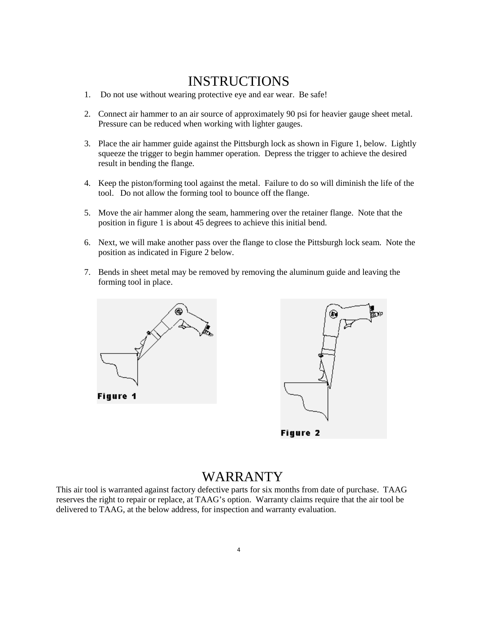### INSTRUCTIONS

- 1. Do not use without wearing protective eye and ear wear. Be safe!
- 2. Connect air hammer to an air source of approximately 90 psi for heavier gauge sheet metal. Pressure can be reduced when working with lighter gauges.
- 3. Place the air hammer guide against the Pittsburgh lock as shown in Figure 1, below. Lightly squeeze the trigger to begin hammer operation. Depress the trigger to achieve the desired result in bending the flange.
- 4. Keep the piston/forming tool against the metal. Failure to do so will diminish the life of the tool. Do not allow the forming tool to bounce off the flange.
- 5. Move the air hammer along the seam, hammering over the retainer flange. Note that the position in figure 1 is about 45 degrees to achieve this initial bend.
- 6. Next, we will make another pass over the flange to close the Pittsburgh lock seam. Note the position as indicated in Figure 2 below.
- 7. Bends in sheet metal may be removed by removing the aluminum guide and leaving the forming tool in place.





### WARRANTY

This air tool is warranted against factory defective parts for six months from date of purchase. TAAG reserves the right to repair or replace, at TAAG's option. Warranty claims require that the air tool be delivered to TAAG, at the below address, for inspection and warranty evaluation.